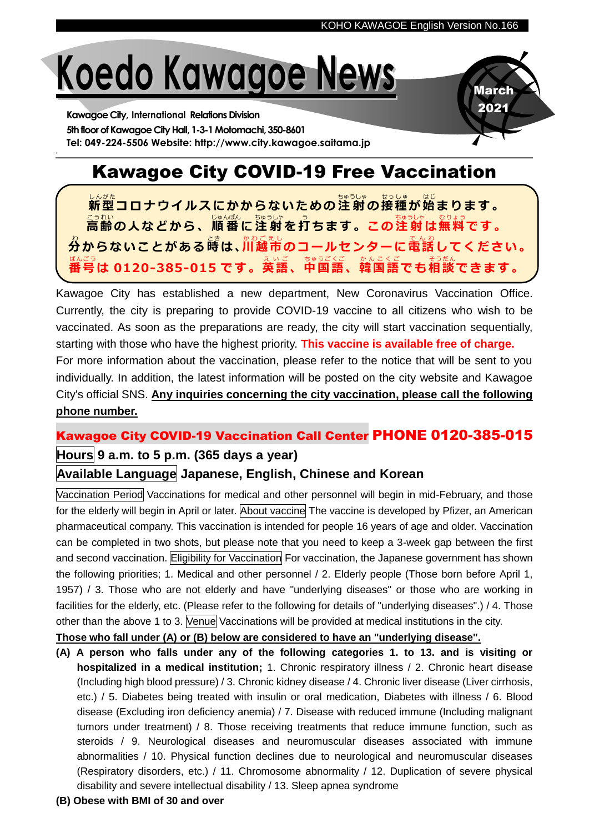March 2021

# **Koedo Kawagoe News**

**Kawagoe City, International Relations Division** 5th floor of Kawagoe City Hall, 1-3-1 Motomachi, 350-8601 **Tel: 049-224-5506 Website: http://www.city.kawagoe.saitama.jp**

## Kawagoe City COVID-19 Free Vaccination

<u>い。。</u><br>新型コロナウイルスにかからないための注射の接種が始まります。 こ。<br>高齢の人などから、順番に注射を打ちます。この注射は無料です。 <u>゚</u><br>分からないことがある嵵は、川越市のコールセンターに電話してください。 ばんごう<br>番号は 0120-385-015 です。英語、中国語、韓国語でも相談できます。

Kawagoe City has established a new department, New Coronavirus Vaccination Office. Currently, the city is preparing to provide COVID-19 vaccine to all citizens who wish to be vaccinated. As soon as the preparations are ready, the city will start vaccination sequentially, starting with those who have the highest priority. **This vaccine is available free of charge.** For more information about the vaccination, please refer to the notice that will be sent to you individually. In addition, the latest information will be posted on the city website and Kawagoe City's official SNS. **Any inquiries concerning the city vaccination, please call the following phone number.**

#### Kawagoe City COVID-19 Vaccination Call Center PHONE 0120-385-015

#### **Hours 9 a.m. to 5 p.m. (365 days a year)**

#### **Available Language Japanese, English, Chinese and Korean**

Vaccination Period Vaccinations for medical and other personnel will begin in mid-February, and those for the elderly will begin in April or later. About vaccine The vaccine is developed by Pfizer, an American pharmaceutical company. This vaccination is intended for people 16 years of age and older. Vaccination can be completed in two shots, but please note that you need to keep a 3-week gap between the first and second vaccination. Eligibility for Vaccination For vaccination, the Japanese government has shown the following priorities; 1. Medical and other personnel / 2. Elderly people (Those born before April 1, 1957) / 3. Those who are not elderly and have "underlying diseases" or those who are working in facilities for the elderly, etc. (Please refer to the following for details of "underlying diseases".) / 4. Those other than the above 1 to 3. Venue Vaccinations will be provided at medical institutions in the city.

**Those who fall under (A) or (B) below are considered to have an "underlying disease".**

- **(A) A person who falls under any of the following categories 1. to 13. and is visiting or hospitalized in a medical institution;** 1. Chronic respiratory illness / 2. Chronic heart disease (Including high blood pressure) / 3. Chronic kidney disease / 4. Chronic liver disease (Liver cirrhosis, etc.) / 5. Diabetes being treated with insulin or oral medication, Diabetes with illness / 6. Blood disease (Excluding iron deficiency anemia) / 7. Disease with reduced immune (Including malignant tumors under treatment) / 8. Those receiving treatments that reduce immune function, such as steroids / 9. Neurological diseases and neuromuscular diseases associated with immune abnormalities / 10. Physical function declines due to neurological and neuromuscular diseases (Respiratory disorders, etc.) / 11. Chromosome abnormality / 12. Duplication of severe physical disability and severe intellectual disability / 13. Sleep apnea syndrome
- **(B) Obese with BMI of 30 and over**